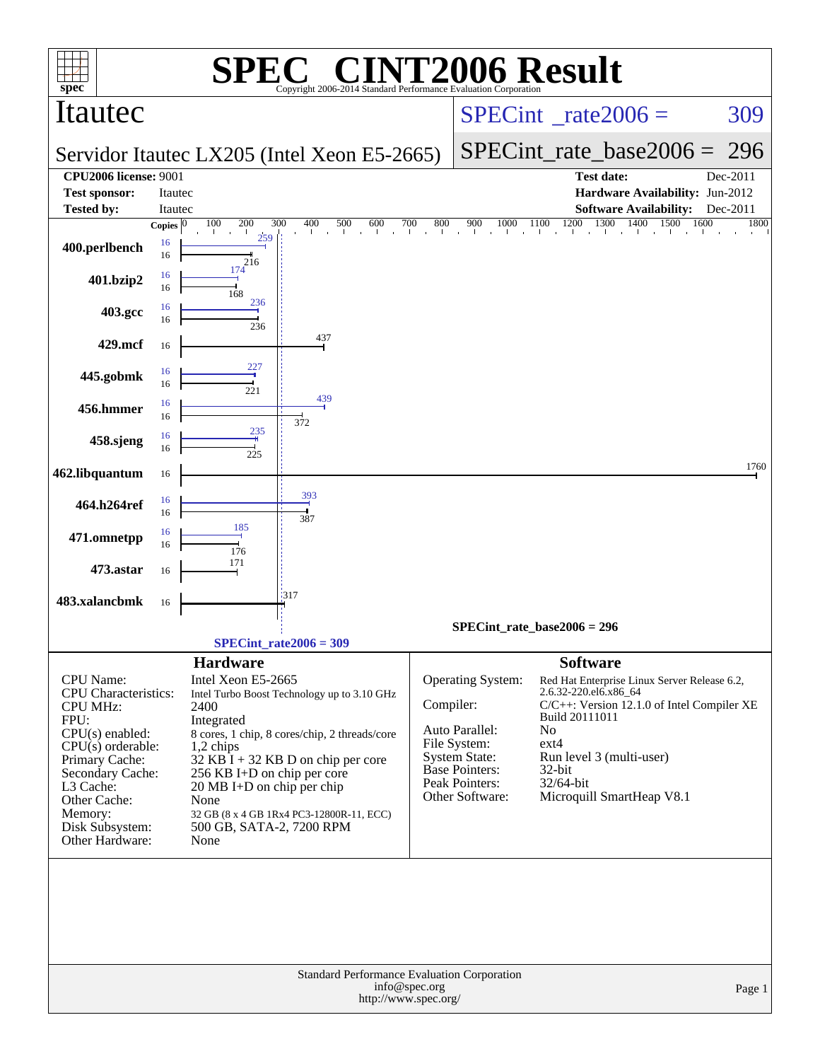|                                                                                                                                                                                                                                     |                         | SPE                                                                                                                                                                                           | <b>C® CINT2006 Result</b>                                                                                                                                                                |               |                                                                                                                                    |                                                                                                                                            |                                                                                                                         |                  |
|-------------------------------------------------------------------------------------------------------------------------------------------------------------------------------------------------------------------------------------|-------------------------|-----------------------------------------------------------------------------------------------------------------------------------------------------------------------------------------------|------------------------------------------------------------------------------------------------------------------------------------------------------------------------------------------|---------------|------------------------------------------------------------------------------------------------------------------------------------|--------------------------------------------------------------------------------------------------------------------------------------------|-------------------------------------------------------------------------------------------------------------------------|------------------|
| $spec^*$<br>Itautec                                                                                                                                                                                                                 |                         |                                                                                                                                                                                               | Copyright 2006-2014 Standard Performance Evaluation Corporation                                                                                                                          |               | $SPECint^{\circ}$ rate $2006 =$                                                                                                    |                                                                                                                                            | 309                                                                                                                     |                  |
|                                                                                                                                                                                                                                     |                         |                                                                                                                                                                                               | Servidor Itautec LX205 (Intel Xeon E5-2665)                                                                                                                                              |               |                                                                                                                                    | $SPECint_rate_base2006 =$                                                                                                                  | 296                                                                                                                     |                  |
| <b>CPU2006 license: 9001</b>                                                                                                                                                                                                        |                         |                                                                                                                                                                                               |                                                                                                                                                                                          |               |                                                                                                                                    | <b>Test date:</b>                                                                                                                          |                                                                                                                         | Dec-2011         |
| <b>Test sponsor:</b>                                                                                                                                                                                                                | Itautec                 |                                                                                                                                                                                               |                                                                                                                                                                                          |               |                                                                                                                                    |                                                                                                                                            | Hardware Availability: Jun-2012                                                                                         |                  |
| <b>Tested by:</b>                                                                                                                                                                                                                   | Itautec<br>Copies $ 0 $ | 100<br>200                                                                                                                                                                                    | 300<br>400<br>500<br>600                                                                                                                                                                 | 700<br>800    | 900<br>1000                                                                                                                        | 1200<br>1300<br>1100                                                                                                                       | <b>Software Availability:</b><br>1400<br>1500<br>1600                                                                   | Dec-2011<br>1800 |
| 400.perlbench                                                                                                                                                                                                                       | 16<br>16                | 259<br>216                                                                                                                                                                                    |                                                                                                                                                                                          |               |                                                                                                                                    | and the contract of the contract of the                                                                                                    |                                                                                                                         |                  |
| 401.bzip2                                                                                                                                                                                                                           | 16<br>16                | 174<br>168                                                                                                                                                                                    |                                                                                                                                                                                          |               |                                                                                                                                    |                                                                                                                                            |                                                                                                                         |                  |
| 403.gcc                                                                                                                                                                                                                             | 16<br>16                | 236<br>236                                                                                                                                                                                    |                                                                                                                                                                                          |               |                                                                                                                                    |                                                                                                                                            |                                                                                                                         |                  |
| 429.mcf                                                                                                                                                                                                                             | 16                      |                                                                                                                                                                                               | 437                                                                                                                                                                                      |               |                                                                                                                                    |                                                                                                                                            |                                                                                                                         |                  |
| 445.gobmk                                                                                                                                                                                                                           | 16<br>16                | 227<br>221                                                                                                                                                                                    |                                                                                                                                                                                          |               |                                                                                                                                    |                                                                                                                                            |                                                                                                                         |                  |
| 456.hmmer                                                                                                                                                                                                                           | 16<br>16                |                                                                                                                                                                                               | 439                                                                                                                                                                                      |               |                                                                                                                                    |                                                                                                                                            |                                                                                                                         |                  |
| 458.sjeng                                                                                                                                                                                                                           | 16<br>16                | 235<br>225                                                                                                                                                                                    | 372                                                                                                                                                                                      |               |                                                                                                                                    |                                                                                                                                            |                                                                                                                         |                  |
| 462.libquantum                                                                                                                                                                                                                      | 16                      |                                                                                                                                                                                               |                                                                                                                                                                                          |               |                                                                                                                                    |                                                                                                                                            |                                                                                                                         | 1760             |
| 464.h264ref                                                                                                                                                                                                                         | 16<br>16                |                                                                                                                                                                                               | 393<br>387                                                                                                                                                                               |               |                                                                                                                                    |                                                                                                                                            |                                                                                                                         |                  |
| 471.omnetpp                                                                                                                                                                                                                         | 16<br>16                | 185<br>176                                                                                                                                                                                    |                                                                                                                                                                                          |               |                                                                                                                                    |                                                                                                                                            |                                                                                                                         |                  |
| 473.astar                                                                                                                                                                                                                           | 16                      | 171                                                                                                                                                                                           |                                                                                                                                                                                          |               |                                                                                                                                    |                                                                                                                                            |                                                                                                                         |                  |
| 483.xalancbmk                                                                                                                                                                                                                       | 16                      |                                                                                                                                                                                               | 317                                                                                                                                                                                      |               |                                                                                                                                    |                                                                                                                                            |                                                                                                                         |                  |
|                                                                                                                                                                                                                                     |                         |                                                                                                                                                                                               |                                                                                                                                                                                          |               |                                                                                                                                    | SPECint rate base $2006 = 296$                                                                                                             |                                                                                                                         |                  |
|                                                                                                                                                                                                                                     |                         |                                                                                                                                                                                               | $SPECint_rate2006 = 309$                                                                                                                                                                 |               |                                                                                                                                    |                                                                                                                                            |                                                                                                                         |                  |
| CPU Name:<br><b>CPU</b> Characteristics:<br><b>CPU MHz:</b><br>FPU:<br>$CPU(s)$ enabled:<br>$CPU(s)$ orderable:<br>Primary Cache:<br>Secondary Cache:<br>L3 Cache:<br>Other Cache:<br>Memory:<br>Disk Subsystem:<br>Other Hardware: |                         | <b>Hardware</b><br>Intel Xeon E5-2665<br>2400<br>Integrated<br>$1,2$ chips<br>256 KB I+D on chip per core<br>$20 \text{ MB I+D}$ on chip per chip<br>None<br>500 GB, SATA-2, 7200 RPM<br>None | Intel Turbo Boost Technology up to 3.10 GHz<br>8 cores, 1 chip, 8 cores/chip, 2 threads/core<br>$32$ KB $\bar{I}$ + 32 KB D on chip per core<br>32 GB (8 x 4 GB 1Rx4 PC3-12800R-11, ECC) | Compiler:     | Operating System:<br>Auto Parallel:<br>File System:<br><b>System State:</b><br>Base Pointers:<br>Peak Pointers:<br>Other Software: | <b>Software</b><br>2.6.32-220.el6.x86_64<br>Build 20111011<br>N <sub>o</sub><br>ext4<br>Run level 3 (multi-user)<br>32-bit<br>$32/64$ -bit | Red Hat Enterprise Linux Server Release 6.2,<br>C/C++: Version 12.1.0 of Intel Compiler XE<br>Microquill SmartHeap V8.1 |                  |
|                                                                                                                                                                                                                                     |                         |                                                                                                                                                                                               | Standard Performance Evaluation Corporation<br>http://www.spec.org/                                                                                                                      | info@spec.org |                                                                                                                                    |                                                                                                                                            |                                                                                                                         | Page 1           |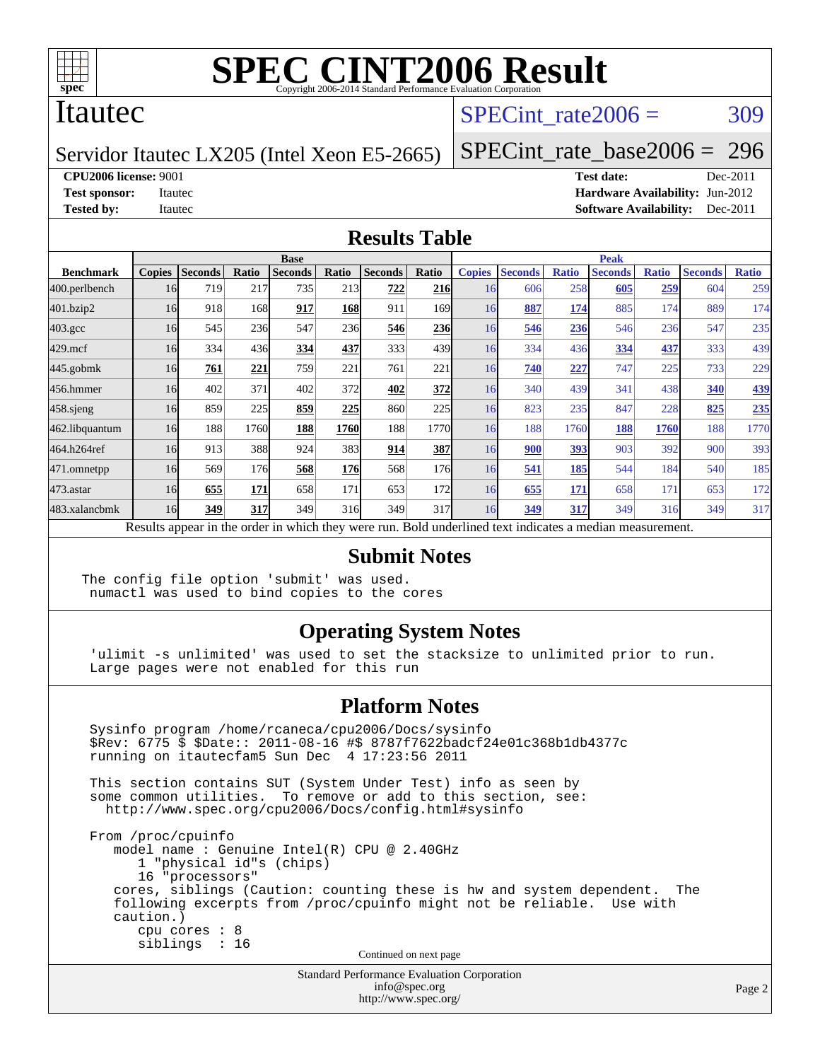

### Itautec

### SPECint rate $2006 = 309$

Servidor Itautec LX205 (Intel Xeon E5-2665)

[SPECint\\_rate\\_base2006 =](http://www.spec.org/auto/cpu2006/Docs/result-fields.html#SPECintratebase2006) 296

**[CPU2006 license:](http://www.spec.org/auto/cpu2006/Docs/result-fields.html#CPU2006license)** 9001 **[Test date:](http://www.spec.org/auto/cpu2006/Docs/result-fields.html#Testdate)** Dec-2011

**[Test sponsor:](http://www.spec.org/auto/cpu2006/Docs/result-fields.html#Testsponsor)** Itautec **[Hardware Availability:](http://www.spec.org/auto/cpu2006/Docs/result-fields.html#HardwareAvailability)** Jun-2012 **[Tested by:](http://www.spec.org/auto/cpu2006/Docs/result-fields.html#Testedby)** Itautec **Italien Contract Contract Contract Contract Contract Contract Contract Contract Contract Contract Contract Contract Contract Contract Contract Contract Contract Contract Contract Contract Contract Con** 

#### **[Results Table](http://www.spec.org/auto/cpu2006/Docs/result-fields.html#ResultsTable)**

|                                                                                                          | <b>Base</b>   |                |       |                |            |                |       | <b>Peak</b>   |                |              |                |              |                |              |
|----------------------------------------------------------------------------------------------------------|---------------|----------------|-------|----------------|------------|----------------|-------|---------------|----------------|--------------|----------------|--------------|----------------|--------------|
| <b>Benchmark</b>                                                                                         | <b>Copies</b> | <b>Seconds</b> | Ratio | <b>Seconds</b> | Ratio      | <b>Seconds</b> | Ratio | <b>Copies</b> | <b>Seconds</b> | <b>Ratio</b> | <b>Seconds</b> | <b>Ratio</b> | <b>Seconds</b> | <b>Ratio</b> |
| 400.perlbench                                                                                            | 16            | 719            | 217   | 735            | 213        | 722            | 216   | 16            | 606            | 258          | 605            | 259          | 604            | 259          |
| 401.bzip2                                                                                                | 16            | 918            | 168   | 917            | <u>168</u> | 911            | 169I  | 16            | 887            | 174          | 885            | 174          | 889            | 174          |
| $403.\mathrm{gcc}$                                                                                       | 16            | 545            | 236   | 547            | <b>236</b> | 546            | 236   | 16            | 546            | 236          | 546            | 236          | 547            | 235          |
| $429$ .mcf                                                                                               | 16            | 334            | 436   | 334            | 437        | 333            | 439   | 16            | 334            | 436          | 334            | 437          | 333            | 439          |
| $445$ .gobmk                                                                                             | 16            | 761            | 221   | 759            | 221        | 761            | 221   | 16            | 740            | 227          | 747            | 225          | 733            | 229          |
| 456.hmmer                                                                                                | 16            | 402            | 371   | 402            | 372        | 402            | 372   | 16            | 340            | 439          | 341            | 438          | 340            | <u>439</u>   |
| $458$ .sjeng                                                                                             | 16            | 859            | 225   | 859            | 225        | 860            | 225   | 16            | 823            | 235          | 847            | 228          | 825            | 235          |
| 462.libquantum                                                                                           | 16            | 188            | 1760  | 188            | 1760       | 188            | 1770  | 16            | 188            | 1760         | 188            | 1760         | 188            | 1770         |
| 464.h264ref                                                                                              | 16            | 913            | 388   | 924            | 383        | 914            | 387   | 16            | 900            | 393          | 903            | 392          | 900            | 393          |
| 471.omnetpp                                                                                              | 16            | 569            | 176   | 568            | <b>176</b> | 568            | 176   | 16            | 541            | 185          | 544            | 184          | 540            | 185          |
| $473$ . astar                                                                                            | 16            | 655            | 171   | 658            | 171        | 653            | 172   | 16            | 655            | 171          | 658            | 171          | 653            | 172          |
| 483.xalancbmk                                                                                            | 16            | 349            | 317   | 349            | 316        | 349            | 317   | 16            | 349            | 317          | 349            | 316          | 349            | 317          |
| Results appear in the order in which they were run. Bold underlined text indicates a median measurement. |               |                |       |                |            |                |       |               |                |              |                |              |                |              |

#### **[Submit Notes](http://www.spec.org/auto/cpu2006/Docs/result-fields.html#SubmitNotes)**

The config file option 'submit' was used. numactl was used to bind copies to the cores

#### **[Operating System Notes](http://www.spec.org/auto/cpu2006/Docs/result-fields.html#OperatingSystemNotes)**

 'ulimit -s unlimited' was used to set the stacksize to unlimited prior to run. Large pages were not enabled for this run

#### **[Platform Notes](http://www.spec.org/auto/cpu2006/Docs/result-fields.html#PlatformNotes)**

 Sysinfo program /home/rcaneca/cpu2006/Docs/sysinfo \$Rev: 6775 \$ \$Date:: 2011-08-16 #\$ 8787f7622badcf24e01c368b1db4377c running on itautecfam5 Sun Dec 4 17:23:56 2011 This section contains SUT (System Under Test) info as seen by some common utilities. To remove or add to this section, see: <http://www.spec.org/cpu2006/Docs/config.html#sysinfo> From /proc/cpuinfo model name : Genuine Intel(R) CPU @ 2.40GHz 1 "physical id"s (chips) 16 "processors" cores, siblings (Caution: counting these is hw and system dependent. The following excerpts from /proc/cpuinfo might not be reliable. Use with caution.) cpu cores : 8 siblings : 16 Continued on next page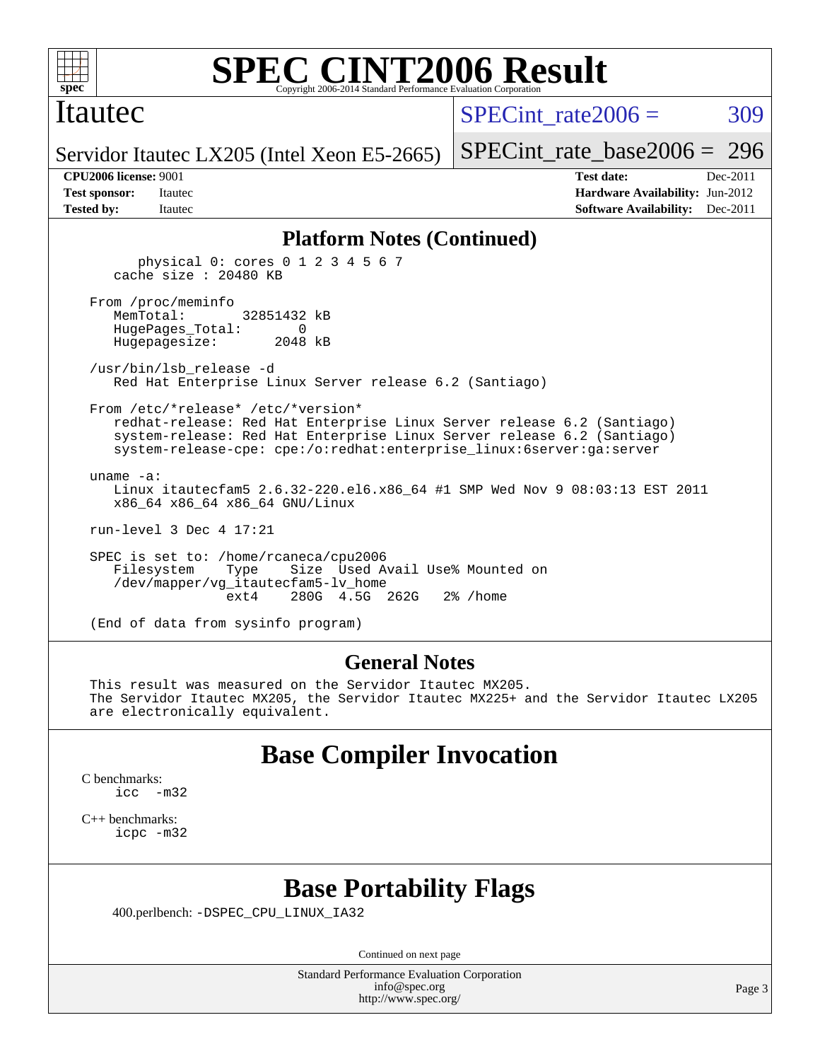

#### Itautec

SPECint rate $2006 = 309$ 

Servidor Itautec LX205 (Intel Xeon E5-2665)

[SPECint\\_rate\\_base2006 =](http://www.spec.org/auto/cpu2006/Docs/result-fields.html#SPECintratebase2006) 296

**[CPU2006 license:](http://www.spec.org/auto/cpu2006/Docs/result-fields.html#CPU2006license)** 9001 **[Test date:](http://www.spec.org/auto/cpu2006/Docs/result-fields.html#Testdate)** Dec-2011 **[Test sponsor:](http://www.spec.org/auto/cpu2006/Docs/result-fields.html#Testsponsor)** Itautec **[Hardware Availability:](http://www.spec.org/auto/cpu2006/Docs/result-fields.html#HardwareAvailability)** Jun-2012 **[Tested by:](http://www.spec.org/auto/cpu2006/Docs/result-fields.html#Testedby)** Itautec **Italien Contract Contract Contract Contract Contract Contract Contract Contract Contract Contract Contract Contract Contract Contract Contract Contract Contract Contract Contract Contract Contract Con** 

#### **[Platform Notes \(Continued\)](http://www.spec.org/auto/cpu2006/Docs/result-fields.html#PlatformNotes)**

 physical 0: cores 0 1 2 3 4 5 6 7 cache size : 20480 KB From /proc/meminfo MemTotal: 32851432 kB HugePages\_Total: 0 Hugepagesize: 2048 kB /usr/bin/lsb\_release -d Red Hat Enterprise Linux Server release 6.2 (Santiago) From /etc/\*release\* /etc/\*version\* redhat-release: Red Hat Enterprise Linux Server release 6.2 (Santiago) system-release: Red Hat Enterprise Linux Server release 6.2 (Santiago) system-release-cpe: cpe:/o:redhat:enterprise\_linux:6server:ga:server uname -a: Linux itautecfam5 2.6.32-220.el6.x86\_64 #1 SMP Wed Nov 9 08:03:13 EST 2011 x86\_64 x86\_64 x86\_64 GNU/Linux run-level 3 Dec 4 17:21 SPEC is set to: /home/rcaneca/cpu2006 Filesystem Type Size Used Avail Use% Mounted on /dev/mapper/vg\_itautecfam5-lv\_home 280G 4.5G 262G 2% / home

(End of data from sysinfo program)

#### **[General Notes](http://www.spec.org/auto/cpu2006/Docs/result-fields.html#GeneralNotes)**

 This result was measured on the Servidor Itautec MX205. The Servidor Itautec MX205, the Servidor Itautec MX225+ and the Servidor Itautec LX205 are electronically equivalent.

### **[Base Compiler Invocation](http://www.spec.org/auto/cpu2006/Docs/result-fields.html#BaseCompilerInvocation)**

[C benchmarks](http://www.spec.org/auto/cpu2006/Docs/result-fields.html#Cbenchmarks): [icc -m32](http://www.spec.org/cpu2006/results/res2012q3/cpu2006-20120827-24347.flags.html#user_CCbase_intel_icc_5ff4a39e364c98233615fdd38438c6f2)

[C++ benchmarks:](http://www.spec.org/auto/cpu2006/Docs/result-fields.html#CXXbenchmarks) [icpc -m32](http://www.spec.org/cpu2006/results/res2012q3/cpu2006-20120827-24347.flags.html#user_CXXbase_intel_icpc_4e5a5ef1a53fd332b3c49e69c3330699)

### **[Base Portability Flags](http://www.spec.org/auto/cpu2006/Docs/result-fields.html#BasePortabilityFlags)**

400.perlbench: [-DSPEC\\_CPU\\_LINUX\\_IA32](http://www.spec.org/cpu2006/results/res2012q3/cpu2006-20120827-24347.flags.html#b400.perlbench_baseCPORTABILITY_DSPEC_CPU_LINUX_IA32)

Continued on next page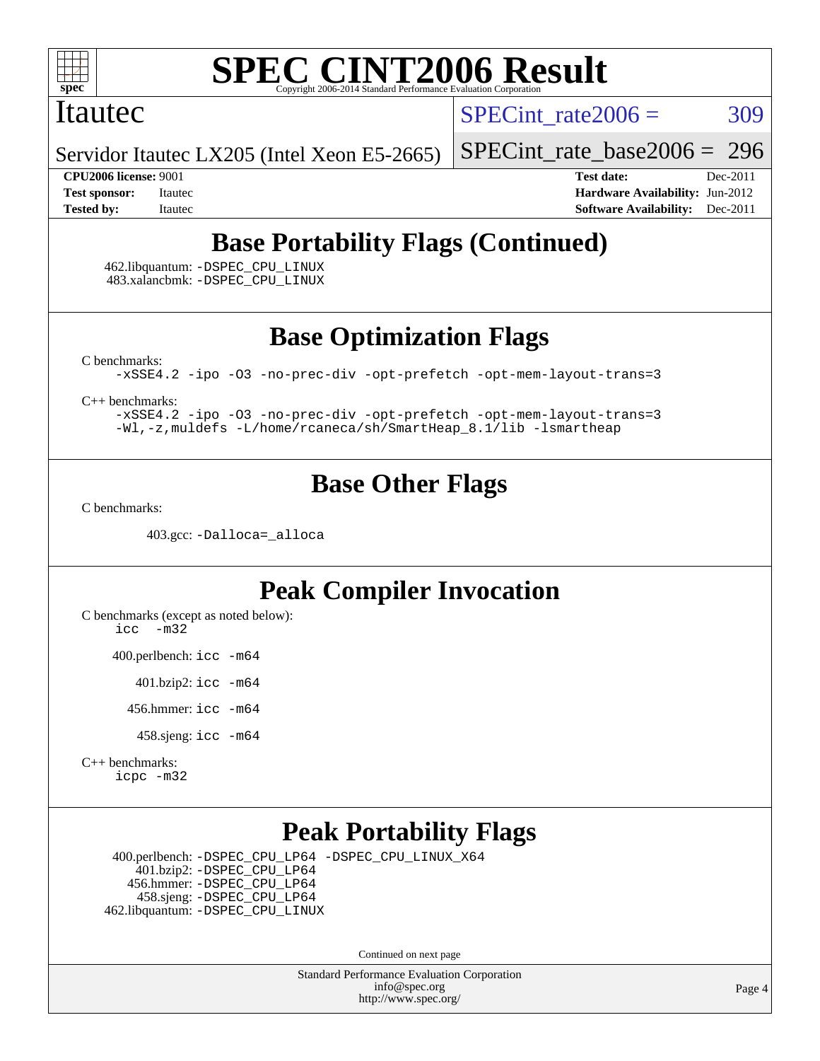

#### Itautec

SPECint rate $2006 = 309$ 

Servidor Itautec LX205 (Intel Xeon E5-2665)

[SPECint\\_rate\\_base2006 =](http://www.spec.org/auto/cpu2006/Docs/result-fields.html#SPECintratebase2006) 296

**[CPU2006 license:](http://www.spec.org/auto/cpu2006/Docs/result-fields.html#CPU2006license)** 9001 **[Test date:](http://www.spec.org/auto/cpu2006/Docs/result-fields.html#Testdate)** Dec-2011 **[Test sponsor:](http://www.spec.org/auto/cpu2006/Docs/result-fields.html#Testsponsor)** Itautec **[Hardware Availability:](http://www.spec.org/auto/cpu2006/Docs/result-fields.html#HardwareAvailability)** Jun-2012 **[Tested by:](http://www.spec.org/auto/cpu2006/Docs/result-fields.html#Testedby)** Itautec **Italien Contract Contract Contract Contract Contract Contract Contract Contract Contract Contract Contract Contract Contract Contract Contract Contract Contract Contract Contract Contract Contract Con** 

## **[Base Portability Flags \(Continued\)](http://www.spec.org/auto/cpu2006/Docs/result-fields.html#BasePortabilityFlags)**

 462.libquantum: [-DSPEC\\_CPU\\_LINUX](http://www.spec.org/cpu2006/results/res2012q3/cpu2006-20120827-24347.flags.html#b462.libquantum_baseCPORTABILITY_DSPEC_CPU_LINUX) 483.xalancbmk: [-DSPEC\\_CPU\\_LINUX](http://www.spec.org/cpu2006/results/res2012q3/cpu2006-20120827-24347.flags.html#b483.xalancbmk_baseCXXPORTABILITY_DSPEC_CPU_LINUX)

**[Base Optimization Flags](http://www.spec.org/auto/cpu2006/Docs/result-fields.html#BaseOptimizationFlags)**

[C benchmarks](http://www.spec.org/auto/cpu2006/Docs/result-fields.html#Cbenchmarks):

[-xSSE4.2](http://www.spec.org/cpu2006/results/res2012q3/cpu2006-20120827-24347.flags.html#user_CCbase_f-xSSE42_f91528193cf0b216347adb8b939d4107) [-ipo](http://www.spec.org/cpu2006/results/res2012q3/cpu2006-20120827-24347.flags.html#user_CCbase_f-ipo) [-O3](http://www.spec.org/cpu2006/results/res2012q3/cpu2006-20120827-24347.flags.html#user_CCbase_f-O3) [-no-prec-div](http://www.spec.org/cpu2006/results/res2012q3/cpu2006-20120827-24347.flags.html#user_CCbase_f-no-prec-div) [-opt-prefetch](http://www.spec.org/cpu2006/results/res2012q3/cpu2006-20120827-24347.flags.html#user_CCbase_f-opt-prefetch) [-opt-mem-layout-trans=3](http://www.spec.org/cpu2006/results/res2012q3/cpu2006-20120827-24347.flags.html#user_CCbase_f-opt-mem-layout-trans_a7b82ad4bd7abf52556d4961a2ae94d5)

[C++ benchmarks:](http://www.spec.org/auto/cpu2006/Docs/result-fields.html#CXXbenchmarks)

[-xSSE4.2](http://www.spec.org/cpu2006/results/res2012q3/cpu2006-20120827-24347.flags.html#user_CXXbase_f-xSSE42_f91528193cf0b216347adb8b939d4107) [-ipo](http://www.spec.org/cpu2006/results/res2012q3/cpu2006-20120827-24347.flags.html#user_CXXbase_f-ipo) [-O3](http://www.spec.org/cpu2006/results/res2012q3/cpu2006-20120827-24347.flags.html#user_CXXbase_f-O3) [-no-prec-div](http://www.spec.org/cpu2006/results/res2012q3/cpu2006-20120827-24347.flags.html#user_CXXbase_f-no-prec-div) [-opt-prefetch](http://www.spec.org/cpu2006/results/res2012q3/cpu2006-20120827-24347.flags.html#user_CXXbase_f-opt-prefetch) [-opt-mem-layout-trans=3](http://www.spec.org/cpu2006/results/res2012q3/cpu2006-20120827-24347.flags.html#user_CXXbase_f-opt-mem-layout-trans_a7b82ad4bd7abf52556d4961a2ae94d5) [-Wl,-z,muldefs](http://www.spec.org/cpu2006/results/res2012q3/cpu2006-20120827-24347.flags.html#user_CXXbase_link_force_multiple1_74079c344b956b9658436fd1b6dd3a8a) [-L/home/rcaneca/sh/SmartHeap\\_8.1/lib -lsmartheap](http://www.spec.org/cpu2006/results/res2012q3/cpu2006-20120827-24347.flags.html#user_CXXbase_SmartHeap_0f3a9c58980a95eacf4c6b7a458c149d)

## **[Base Other Flags](http://www.spec.org/auto/cpu2006/Docs/result-fields.html#BaseOtherFlags)**

[C benchmarks](http://www.spec.org/auto/cpu2006/Docs/result-fields.html#Cbenchmarks):

403.gcc: [-Dalloca=\\_alloca](http://www.spec.org/cpu2006/results/res2012q3/cpu2006-20120827-24347.flags.html#b403.gcc_baseEXTRA_CFLAGS_Dalloca_be3056838c12de2578596ca5467af7f3)

## **[Peak Compiler Invocation](http://www.spec.org/auto/cpu2006/Docs/result-fields.html#PeakCompilerInvocation)**

[C benchmarks \(except as noted below\)](http://www.spec.org/auto/cpu2006/Docs/result-fields.html#Cbenchmarksexceptasnotedbelow): [icc -m32](http://www.spec.org/cpu2006/results/res2012q3/cpu2006-20120827-24347.flags.html#user_CCpeak_intel_icc_5ff4a39e364c98233615fdd38438c6f2)

400.perlbench: [icc -m64](http://www.spec.org/cpu2006/results/res2012q3/cpu2006-20120827-24347.flags.html#user_peakCCLD400_perlbench_intel_icc_64bit_bda6cc9af1fdbb0edc3795bac97ada53)

401.bzip2: [icc -m64](http://www.spec.org/cpu2006/results/res2012q3/cpu2006-20120827-24347.flags.html#user_peakCCLD401_bzip2_intel_icc_64bit_bda6cc9af1fdbb0edc3795bac97ada53)

456.hmmer: [icc -m64](http://www.spec.org/cpu2006/results/res2012q3/cpu2006-20120827-24347.flags.html#user_peakCCLD456_hmmer_intel_icc_64bit_bda6cc9af1fdbb0edc3795bac97ada53)

458.sjeng: [icc -m64](http://www.spec.org/cpu2006/results/res2012q3/cpu2006-20120827-24347.flags.html#user_peakCCLD458_sjeng_intel_icc_64bit_bda6cc9af1fdbb0edc3795bac97ada53)

[C++ benchmarks:](http://www.spec.org/auto/cpu2006/Docs/result-fields.html#CXXbenchmarks) [icpc -m32](http://www.spec.org/cpu2006/results/res2012q3/cpu2006-20120827-24347.flags.html#user_CXXpeak_intel_icpc_4e5a5ef1a53fd332b3c49e69c3330699)

## **[Peak Portability Flags](http://www.spec.org/auto/cpu2006/Docs/result-fields.html#PeakPortabilityFlags)**

 400.perlbench: [-DSPEC\\_CPU\\_LP64](http://www.spec.org/cpu2006/results/res2012q3/cpu2006-20120827-24347.flags.html#b400.perlbench_peakCPORTABILITY_DSPEC_CPU_LP64) [-DSPEC\\_CPU\\_LINUX\\_X64](http://www.spec.org/cpu2006/results/res2012q3/cpu2006-20120827-24347.flags.html#b400.perlbench_peakCPORTABILITY_DSPEC_CPU_LINUX_X64) 401.bzip2: [-DSPEC\\_CPU\\_LP64](http://www.spec.org/cpu2006/results/res2012q3/cpu2006-20120827-24347.flags.html#suite_peakCPORTABILITY401_bzip2_DSPEC_CPU_LP64) 456.hmmer: [-DSPEC\\_CPU\\_LP64](http://www.spec.org/cpu2006/results/res2012q3/cpu2006-20120827-24347.flags.html#suite_peakCPORTABILITY456_hmmer_DSPEC_CPU_LP64) 458.sjeng: [-DSPEC\\_CPU\\_LP64](http://www.spec.org/cpu2006/results/res2012q3/cpu2006-20120827-24347.flags.html#suite_peakCPORTABILITY458_sjeng_DSPEC_CPU_LP64) 462.libquantum: [-DSPEC\\_CPU\\_LINUX](http://www.spec.org/cpu2006/results/res2012q3/cpu2006-20120827-24347.flags.html#b462.libquantum_peakCPORTABILITY_DSPEC_CPU_LINUX)

Continued on next page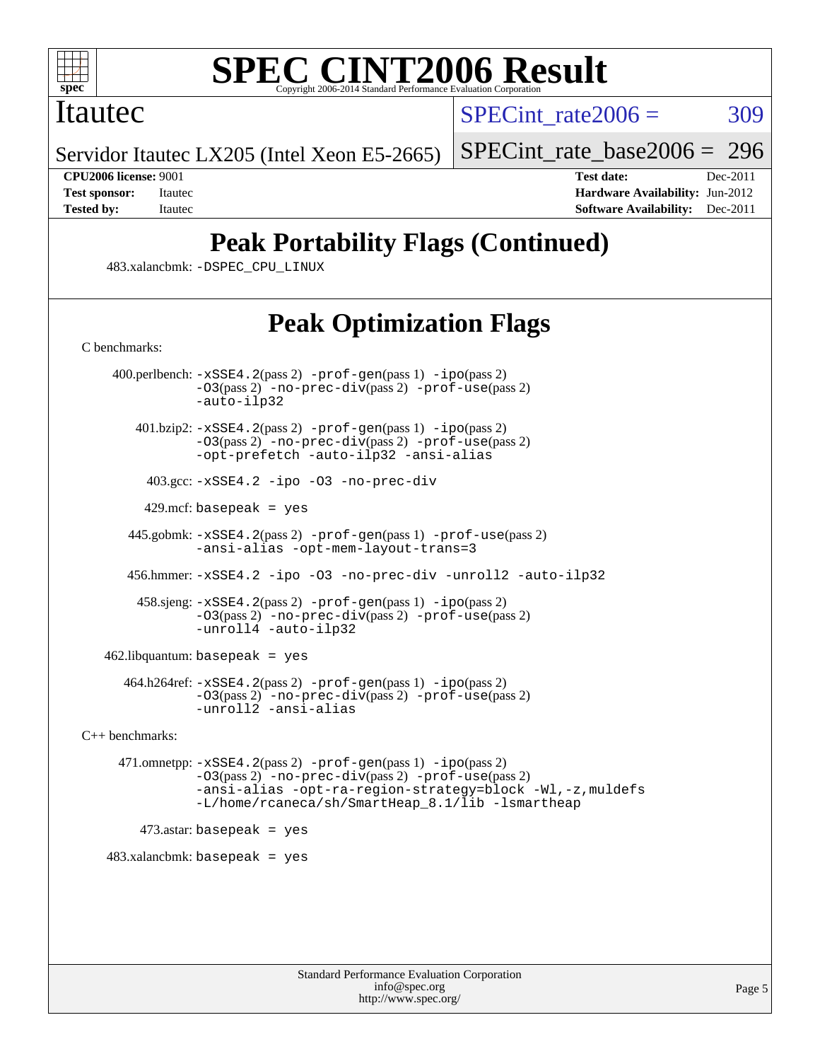

### Itautec

SPECint rate $2006 = 309$ 

Servidor Itautec LX205 (Intel Xeon E5-2665)

[SPECint\\_rate\\_base2006 =](http://www.spec.org/auto/cpu2006/Docs/result-fields.html#SPECintratebase2006) 296

**[CPU2006 license:](http://www.spec.org/auto/cpu2006/Docs/result-fields.html#CPU2006license)** 9001 **[Test date:](http://www.spec.org/auto/cpu2006/Docs/result-fields.html#Testdate)** Dec-2011 **[Test sponsor:](http://www.spec.org/auto/cpu2006/Docs/result-fields.html#Testsponsor)** Itautec **[Hardware Availability:](http://www.spec.org/auto/cpu2006/Docs/result-fields.html#HardwareAvailability)** Jun-2012 **[Tested by:](http://www.spec.org/auto/cpu2006/Docs/result-fields.html#Testedby)** Itautec **[Software Availability:](http://www.spec.org/auto/cpu2006/Docs/result-fields.html#SoftwareAvailability)** Dec-2011

## **[Peak Portability Flags \(Continued\)](http://www.spec.org/auto/cpu2006/Docs/result-fields.html#PeakPortabilityFlags)**

483.xalancbmk: [-DSPEC\\_CPU\\_LINUX](http://www.spec.org/cpu2006/results/res2012q3/cpu2006-20120827-24347.flags.html#b483.xalancbmk_peakCXXPORTABILITY_DSPEC_CPU_LINUX)

## **[Peak Optimization Flags](http://www.spec.org/auto/cpu2006/Docs/result-fields.html#PeakOptimizationFlags)**

[C benchmarks](http://www.spec.org/auto/cpu2006/Docs/result-fields.html#Cbenchmarks):

 400.perlbench: [-xSSE4.2](http://www.spec.org/cpu2006/results/res2012q3/cpu2006-20120827-24347.flags.html#user_peakPASS2_CFLAGSPASS2_LDCFLAGS400_perlbench_f-xSSE42_f91528193cf0b216347adb8b939d4107)(pass 2) [-prof-gen](http://www.spec.org/cpu2006/results/res2012q3/cpu2006-20120827-24347.flags.html#user_peakPASS1_CFLAGSPASS1_LDCFLAGS400_perlbench_prof_gen_e43856698f6ca7b7e442dfd80e94a8fc)(pass 1) [-ipo](http://www.spec.org/cpu2006/results/res2012q3/cpu2006-20120827-24347.flags.html#user_peakPASS2_CFLAGSPASS2_LDCFLAGS400_perlbench_f-ipo)(pass 2) [-O3](http://www.spec.org/cpu2006/results/res2012q3/cpu2006-20120827-24347.flags.html#user_peakPASS2_CFLAGSPASS2_LDCFLAGS400_perlbench_f-O3)(pass 2) [-no-prec-div](http://www.spec.org/cpu2006/results/res2012q3/cpu2006-20120827-24347.flags.html#user_peakPASS2_CFLAGSPASS2_LDCFLAGS400_perlbench_f-no-prec-div)(pass 2) [-prof-use](http://www.spec.org/cpu2006/results/res2012q3/cpu2006-20120827-24347.flags.html#user_peakPASS2_CFLAGSPASS2_LDCFLAGS400_perlbench_prof_use_bccf7792157ff70d64e32fe3e1250b55)(pass 2) [-auto-ilp32](http://www.spec.org/cpu2006/results/res2012q3/cpu2006-20120827-24347.flags.html#user_peakCOPTIMIZE400_perlbench_f-auto-ilp32) 401.bzip2: [-xSSE4.2](http://www.spec.org/cpu2006/results/res2012q3/cpu2006-20120827-24347.flags.html#user_peakPASS2_CFLAGSPASS2_LDCFLAGS401_bzip2_f-xSSE42_f91528193cf0b216347adb8b939d4107)(pass 2) [-prof-gen](http://www.spec.org/cpu2006/results/res2012q3/cpu2006-20120827-24347.flags.html#user_peakPASS1_CFLAGSPASS1_LDCFLAGS401_bzip2_prof_gen_e43856698f6ca7b7e442dfd80e94a8fc)(pass 1) [-ipo](http://www.spec.org/cpu2006/results/res2012q3/cpu2006-20120827-24347.flags.html#user_peakPASS2_CFLAGSPASS2_LDCFLAGS401_bzip2_f-ipo)(pass 2) [-O3](http://www.spec.org/cpu2006/results/res2012q3/cpu2006-20120827-24347.flags.html#user_peakPASS2_CFLAGSPASS2_LDCFLAGS401_bzip2_f-O3)(pass 2) [-no-prec-div](http://www.spec.org/cpu2006/results/res2012q3/cpu2006-20120827-24347.flags.html#user_peakPASS2_CFLAGSPASS2_LDCFLAGS401_bzip2_f-no-prec-div)(pass 2) [-prof-use](http://www.spec.org/cpu2006/results/res2012q3/cpu2006-20120827-24347.flags.html#user_peakPASS2_CFLAGSPASS2_LDCFLAGS401_bzip2_prof_use_bccf7792157ff70d64e32fe3e1250b55)(pass 2) [-opt-prefetch](http://www.spec.org/cpu2006/results/res2012q3/cpu2006-20120827-24347.flags.html#user_peakCOPTIMIZE401_bzip2_f-opt-prefetch) [-auto-ilp32](http://www.spec.org/cpu2006/results/res2012q3/cpu2006-20120827-24347.flags.html#user_peakCOPTIMIZE401_bzip2_f-auto-ilp32) [-ansi-alias](http://www.spec.org/cpu2006/results/res2012q3/cpu2006-20120827-24347.flags.html#user_peakCOPTIMIZE401_bzip2_f-ansi-alias) 403.gcc: [-xSSE4.2](http://www.spec.org/cpu2006/results/res2012q3/cpu2006-20120827-24347.flags.html#user_peakCOPTIMIZE403_gcc_f-xSSE42_f91528193cf0b216347adb8b939d4107) [-ipo](http://www.spec.org/cpu2006/results/res2012q3/cpu2006-20120827-24347.flags.html#user_peakCOPTIMIZE403_gcc_f-ipo) [-O3](http://www.spec.org/cpu2006/results/res2012q3/cpu2006-20120827-24347.flags.html#user_peakCOPTIMIZE403_gcc_f-O3) [-no-prec-div](http://www.spec.org/cpu2006/results/res2012q3/cpu2006-20120827-24347.flags.html#user_peakCOPTIMIZE403_gcc_f-no-prec-div)  $429$ .mcf: basepeak = yes 445.gobmk: [-xSSE4.2](http://www.spec.org/cpu2006/results/res2012q3/cpu2006-20120827-24347.flags.html#user_peakPASS2_CFLAGSPASS2_LDCFLAGS445_gobmk_f-xSSE42_f91528193cf0b216347adb8b939d4107)(pass 2) [-prof-gen](http://www.spec.org/cpu2006/results/res2012q3/cpu2006-20120827-24347.flags.html#user_peakPASS1_CFLAGSPASS1_LDCFLAGS445_gobmk_prof_gen_e43856698f6ca7b7e442dfd80e94a8fc)(pass 1) [-prof-use](http://www.spec.org/cpu2006/results/res2012q3/cpu2006-20120827-24347.flags.html#user_peakPASS2_CFLAGSPASS2_LDCFLAGS445_gobmk_prof_use_bccf7792157ff70d64e32fe3e1250b55)(pass 2) [-ansi-alias](http://www.spec.org/cpu2006/results/res2012q3/cpu2006-20120827-24347.flags.html#user_peakCOPTIMIZE445_gobmk_f-ansi-alias) [-opt-mem-layout-trans=3](http://www.spec.org/cpu2006/results/res2012q3/cpu2006-20120827-24347.flags.html#user_peakCOPTIMIZE445_gobmk_f-opt-mem-layout-trans_a7b82ad4bd7abf52556d4961a2ae94d5) 456.hmmer: [-xSSE4.2](http://www.spec.org/cpu2006/results/res2012q3/cpu2006-20120827-24347.flags.html#user_peakCOPTIMIZE456_hmmer_f-xSSE42_f91528193cf0b216347adb8b939d4107) [-ipo](http://www.spec.org/cpu2006/results/res2012q3/cpu2006-20120827-24347.flags.html#user_peakCOPTIMIZE456_hmmer_f-ipo) [-O3](http://www.spec.org/cpu2006/results/res2012q3/cpu2006-20120827-24347.flags.html#user_peakCOPTIMIZE456_hmmer_f-O3) [-no-prec-div](http://www.spec.org/cpu2006/results/res2012q3/cpu2006-20120827-24347.flags.html#user_peakCOPTIMIZE456_hmmer_f-no-prec-div) [-unroll2](http://www.spec.org/cpu2006/results/res2012q3/cpu2006-20120827-24347.flags.html#user_peakCOPTIMIZE456_hmmer_f-unroll_784dae83bebfb236979b41d2422d7ec2) [-auto-ilp32](http://www.spec.org/cpu2006/results/res2012q3/cpu2006-20120827-24347.flags.html#user_peakCOPTIMIZE456_hmmer_f-auto-ilp32) 458.sjeng: [-xSSE4.2](http://www.spec.org/cpu2006/results/res2012q3/cpu2006-20120827-24347.flags.html#user_peakPASS2_CFLAGSPASS2_LDCFLAGS458_sjeng_f-xSSE42_f91528193cf0b216347adb8b939d4107)(pass 2) [-prof-gen](http://www.spec.org/cpu2006/results/res2012q3/cpu2006-20120827-24347.flags.html#user_peakPASS1_CFLAGSPASS1_LDCFLAGS458_sjeng_prof_gen_e43856698f6ca7b7e442dfd80e94a8fc)(pass 1) [-ipo](http://www.spec.org/cpu2006/results/res2012q3/cpu2006-20120827-24347.flags.html#user_peakPASS2_CFLAGSPASS2_LDCFLAGS458_sjeng_f-ipo)(pass 2) [-O3](http://www.spec.org/cpu2006/results/res2012q3/cpu2006-20120827-24347.flags.html#user_peakPASS2_CFLAGSPASS2_LDCFLAGS458_sjeng_f-O3)(pass 2) [-no-prec-div](http://www.spec.org/cpu2006/results/res2012q3/cpu2006-20120827-24347.flags.html#user_peakPASS2_CFLAGSPASS2_LDCFLAGS458_sjeng_f-no-prec-div)(pass 2) [-prof-use](http://www.spec.org/cpu2006/results/res2012q3/cpu2006-20120827-24347.flags.html#user_peakPASS2_CFLAGSPASS2_LDCFLAGS458_sjeng_prof_use_bccf7792157ff70d64e32fe3e1250b55)(pass 2) [-unroll4](http://www.spec.org/cpu2006/results/res2012q3/cpu2006-20120827-24347.flags.html#user_peakCOPTIMIZE458_sjeng_f-unroll_4e5e4ed65b7fd20bdcd365bec371b81f) [-auto-ilp32](http://www.spec.org/cpu2006/results/res2012q3/cpu2006-20120827-24347.flags.html#user_peakCOPTIMIZE458_sjeng_f-auto-ilp32) 462.libquantum: basepeak = yes 464.h264ref: [-xSSE4.2](http://www.spec.org/cpu2006/results/res2012q3/cpu2006-20120827-24347.flags.html#user_peakPASS2_CFLAGSPASS2_LDCFLAGS464_h264ref_f-xSSE42_f91528193cf0b216347adb8b939d4107)(pass 2) [-prof-gen](http://www.spec.org/cpu2006/results/res2012q3/cpu2006-20120827-24347.flags.html#user_peakPASS1_CFLAGSPASS1_LDCFLAGS464_h264ref_prof_gen_e43856698f6ca7b7e442dfd80e94a8fc)(pass 1) [-ipo](http://www.spec.org/cpu2006/results/res2012q3/cpu2006-20120827-24347.flags.html#user_peakPASS2_CFLAGSPASS2_LDCFLAGS464_h264ref_f-ipo)(pass 2) [-O3](http://www.spec.org/cpu2006/results/res2012q3/cpu2006-20120827-24347.flags.html#user_peakPASS2_CFLAGSPASS2_LDCFLAGS464_h264ref_f-O3)(pass 2) [-no-prec-div](http://www.spec.org/cpu2006/results/res2012q3/cpu2006-20120827-24347.flags.html#user_peakPASS2_CFLAGSPASS2_LDCFLAGS464_h264ref_f-no-prec-div)(pass 2) [-prof-use](http://www.spec.org/cpu2006/results/res2012q3/cpu2006-20120827-24347.flags.html#user_peakPASS2_CFLAGSPASS2_LDCFLAGS464_h264ref_prof_use_bccf7792157ff70d64e32fe3e1250b55)(pass 2) [-unroll2](http://www.spec.org/cpu2006/results/res2012q3/cpu2006-20120827-24347.flags.html#user_peakCOPTIMIZE464_h264ref_f-unroll_784dae83bebfb236979b41d2422d7ec2) [-ansi-alias](http://www.spec.org/cpu2006/results/res2012q3/cpu2006-20120827-24347.flags.html#user_peakCOPTIMIZE464_h264ref_f-ansi-alias) [C++ benchmarks:](http://www.spec.org/auto/cpu2006/Docs/result-fields.html#CXXbenchmarks) 471.omnetpp: [-xSSE4.2](http://www.spec.org/cpu2006/results/res2012q3/cpu2006-20120827-24347.flags.html#user_peakPASS2_CXXFLAGSPASS2_LDCXXFLAGS471_omnetpp_f-xSSE42_f91528193cf0b216347adb8b939d4107)(pass 2) [-prof-gen](http://www.spec.org/cpu2006/results/res2012q3/cpu2006-20120827-24347.flags.html#user_peakPASS1_CXXFLAGSPASS1_LDCXXFLAGS471_omnetpp_prof_gen_e43856698f6ca7b7e442dfd80e94a8fc)(pass 1) [-ipo](http://www.spec.org/cpu2006/results/res2012q3/cpu2006-20120827-24347.flags.html#user_peakPASS2_CXXFLAGSPASS2_LDCXXFLAGS471_omnetpp_f-ipo)(pass 2) [-O3](http://www.spec.org/cpu2006/results/res2012q3/cpu2006-20120827-24347.flags.html#user_peakPASS2_CXXFLAGSPASS2_LDCXXFLAGS471_omnetpp_f-O3)(pass 2) [-no-prec-div](http://www.spec.org/cpu2006/results/res2012q3/cpu2006-20120827-24347.flags.html#user_peakPASS2_CXXFLAGSPASS2_LDCXXFLAGS471_omnetpp_f-no-prec-div)(pass 2) [-prof-use](http://www.spec.org/cpu2006/results/res2012q3/cpu2006-20120827-24347.flags.html#user_peakPASS2_CXXFLAGSPASS2_LDCXXFLAGS471_omnetpp_prof_use_bccf7792157ff70d64e32fe3e1250b55)(pass 2) [-ansi-alias](http://www.spec.org/cpu2006/results/res2012q3/cpu2006-20120827-24347.flags.html#user_peakCXXOPTIMIZE471_omnetpp_f-ansi-alias) [-opt-ra-region-strategy=block](http://www.spec.org/cpu2006/results/res2012q3/cpu2006-20120827-24347.flags.html#user_peakCXXOPTIMIZE471_omnetpp_f-opt-ra-region-strategy_a0a37c372d03933b2a18d4af463c1f69) [-Wl,-z,muldefs](http://www.spec.org/cpu2006/results/res2012q3/cpu2006-20120827-24347.flags.html#user_peakEXTRA_LDFLAGS471_omnetpp_link_force_multiple1_74079c344b956b9658436fd1b6dd3a8a) [-L/home/rcaneca/sh/SmartHeap\\_8.1/lib -lsmartheap](http://www.spec.org/cpu2006/results/res2012q3/cpu2006-20120827-24347.flags.html#user_peakEXTRA_LIBS471_omnetpp_SmartHeap_0f3a9c58980a95eacf4c6b7a458c149d)

 $473$ .astar: basepeak = yes

 $483.xalanchmk: basepeak = yes$